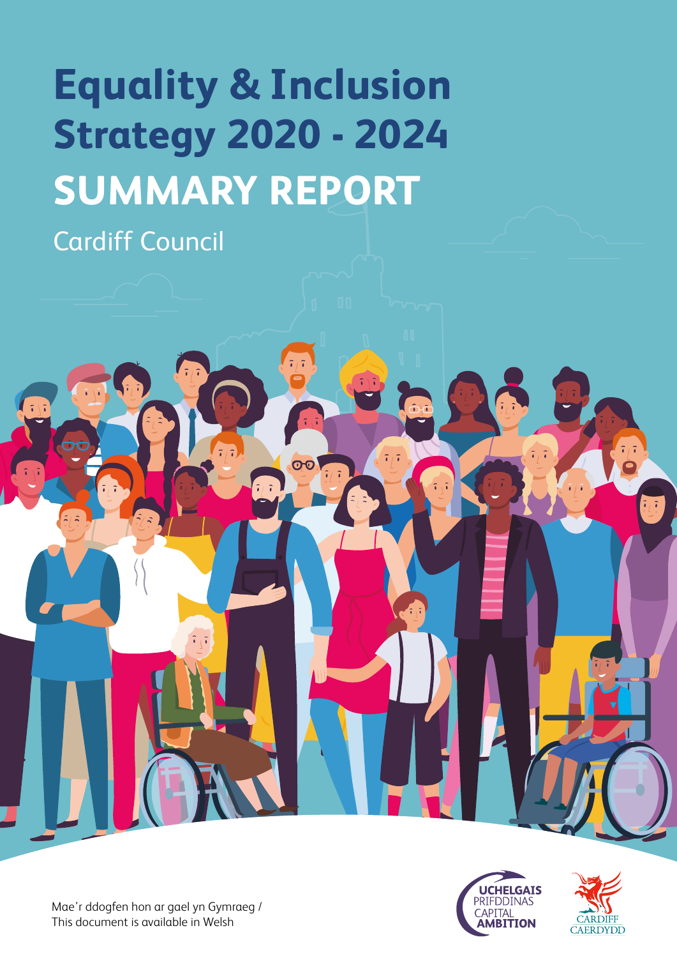# **Equality & Inclusion Strategy 2020 - 2024 SUMMARY REPORT**

 $\overline{\text{O}}$ 

Cardiff Council





ò

Mae'r ddogfen hon ar gael yn Gymraeg / This document is available in Welsh

 $\tilde{v}$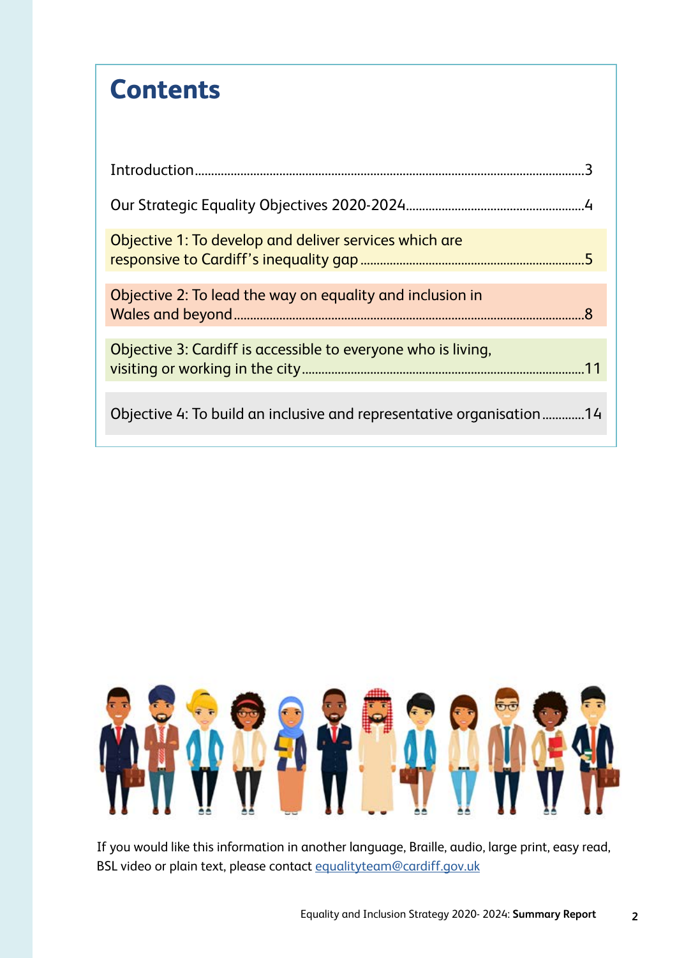#### **Contents**

| Objective 1: To develop and deliver services which are               |  |
|----------------------------------------------------------------------|--|
| Objective 2: To lead the way on equality and inclusion in            |  |
| Objective 3: Cardiff is accessible to everyone who is living,        |  |
| Objective 4: To build an inclusive and representative organisation14 |  |



If you would like this information in another language, Braille, audio, large print, easy read, BSL video or plain text, please contact [equalityteam@cardiff.gov.uk](mailto:equalityteam%40cardiff.gov.uk?subject=)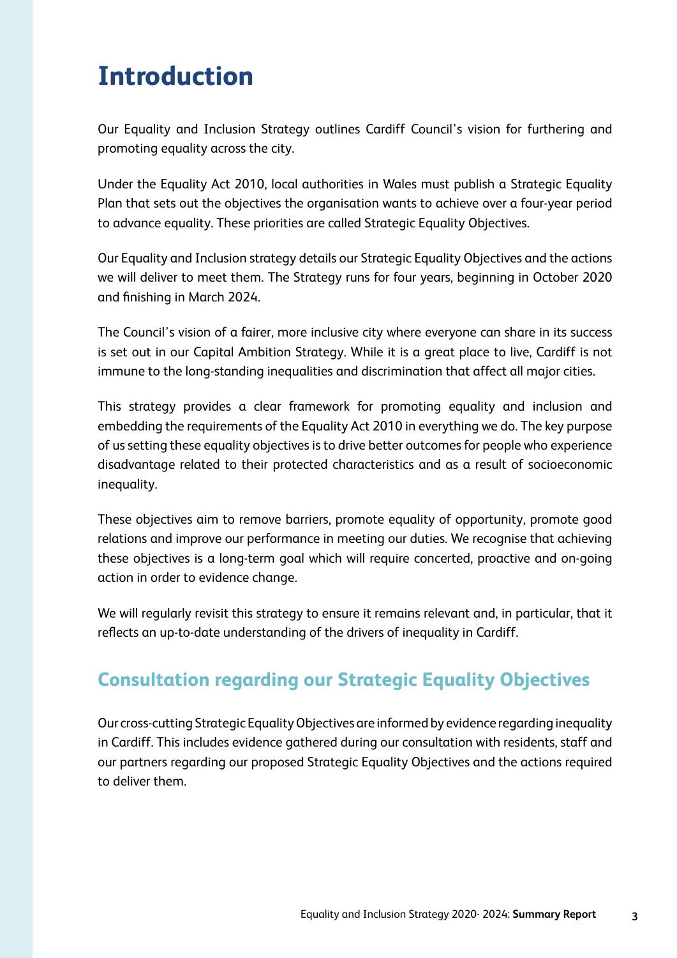#### **Introduction**

Our Equality and Inclusion Strategy outlines Cardiff Council's vision for furthering and promoting equality across the city.

Under the Equality Act 2010, local authorities in Wales must publish a Strategic Equality Plan that sets out the objectives the organisation wants to achieve over a four-year period to advance equality. These priorities are called Strategic Equality Objectives.

Our Equality and Inclusion strategy details our Strategic Equality Objectives and the actions we will deliver to meet them. The Strategy runs for four years, beginning in October 2020 and fnishing in March 2024.

The Council's vision of a fairer, more inclusive city where everyone can share in its success is set out in our Capital Ambition Strategy. While it is a great place to live, Cardiff is not immune to the long-standing inequalities and discrimination that affect all major cities.

This strategy provides a clear framework for promoting equality and inclusion and embedding the requirements of the Equality Act 2010 in everything we do. The key purpose of us setting these equality objectives is to drive better outcomes for people who experience disadvantage related to their protected characteristics and as a result of socioeconomic inequality.

These objectives aim to remove barriers, promote equality of opportunity, promote good relations and improve our performance in meeting our duties. We recognise that achieving these objectives is a long-term goal which will require concerted, proactive and on-going action in order to evidence change.

We will regularly revisit this strategy to ensure it remains relevant and, in particular, that it refects an up-to-date understanding of the drivers of inequality in Cardiff.

#### **Consultation regarding our Strategic Equality Objectives**

Our cross-cutting Strategic Equality Objectives are informed by evidence regarding inequality in Cardiff. This includes evidence gathered during our consultation with residents, staff and our partners regarding our proposed Strategic Equality Objectives and the actions required to deliver them.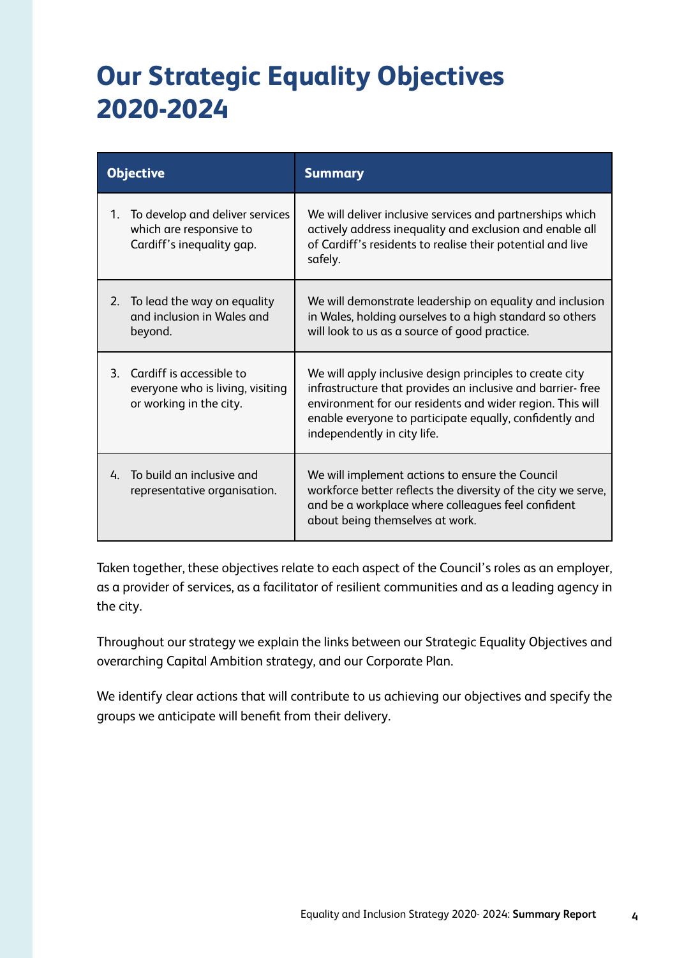### **Our Strategic Equality Objectives 2020-2024**

| <b>Objective</b>                                                                                       | <b>Summary</b>                                                                                                                                                                                                                                                                |
|--------------------------------------------------------------------------------------------------------|-------------------------------------------------------------------------------------------------------------------------------------------------------------------------------------------------------------------------------------------------------------------------------|
| To develop and deliver services<br>$1_{\cdot}$<br>which are responsive to<br>Cardiff's inequality gap. | We will deliver inclusive services and partnerships which<br>actively address inequality and exclusion and enable all<br>of Cardiff's residents to realise their potential and live<br>safely.                                                                                |
| To lead the way on equality<br>2.<br>and inclusion in Wales and<br>beyond.                             | We will demonstrate leadership on equality and inclusion<br>in Wales, holding ourselves to a high standard so others<br>will look to us as a source of good practice.                                                                                                         |
| 3. Cardiff is accessible to<br>everyone who is living, visiting<br>or working in the city.             | We will apply inclusive design principles to create city<br>infrastructure that provides an inclusive and barrier-free<br>environment for our residents and wider region. This will<br>enable everyone to participate equally, confidently and<br>independently in city life. |
| To build an inclusive and<br>4.<br>representative organisation.                                        | We will implement actions to ensure the Council<br>workforce better reflects the diversity of the city we serve,<br>and be a workplace where colleagues feel confident<br>about being themselves at work.                                                                     |

Taken together, these objectives relate to each aspect of the Council's roles as an employer, as a provider of services, as a facilitator of resilient communities and as a leading agency in the city.

Throughout our strategy we explain the links between our Strategic Equality Objectives and overarching Capital Ambition strategy, and our Corporate Plan.

We identify clear actions that will contribute to us achieving our objectives and specify the groups we anticipate will beneft from their delivery.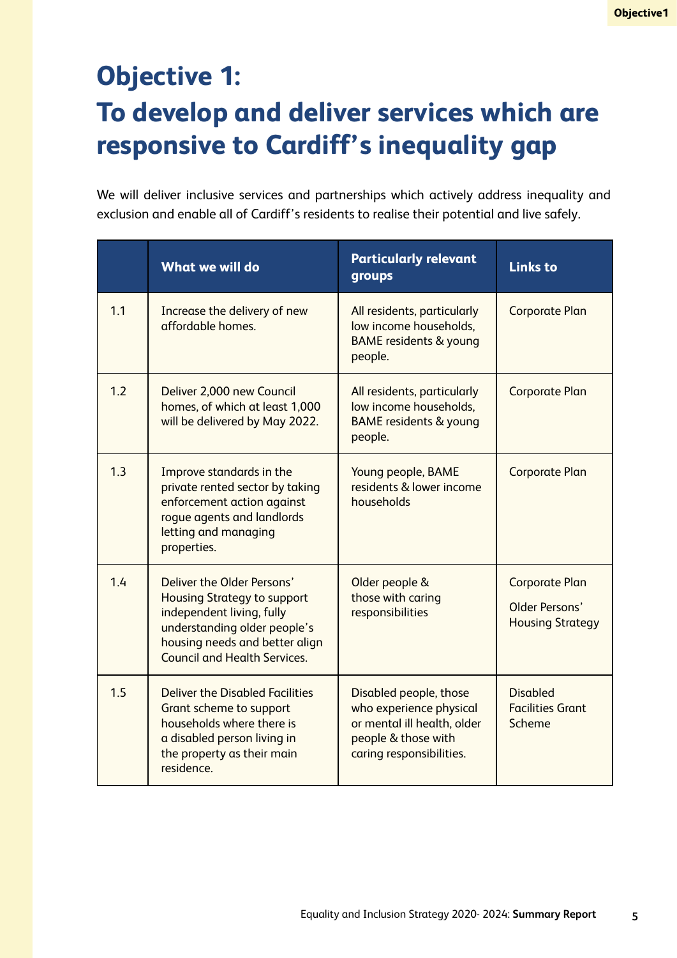# **Objective 1: To develop and deliver services which are responsive to Cardiff's inequality gap**

We will deliver inclusive services and partnerships which actively address inequality and exclusion and enable all of Cardiff's residents to realise their potential and live safely.

|     | <b>What we will do</b>                                                                                                                                                                                 | <b>Particularly relevant</b><br>groups                                                                                              | <b>Links to</b>                                                    |
|-----|--------------------------------------------------------------------------------------------------------------------------------------------------------------------------------------------------------|-------------------------------------------------------------------------------------------------------------------------------------|--------------------------------------------------------------------|
| 1.1 | Increase the delivery of new<br>affordable homes.                                                                                                                                                      | All residents, particularly<br>low income households,<br><b>BAME</b> residents & young<br>people.                                   | <b>Corporate Plan</b>                                              |
| 1.2 | Deliver 2,000 new Council<br>homes, of which at least 1,000<br>will be delivered by May 2022.                                                                                                          | All residents, particularly<br>low income households,<br><b>BAME</b> residents & young<br>people.                                   | <b>Corporate Plan</b>                                              |
| 1.3 | Improve standards in the<br>private rented sector by taking<br>enforcement action against<br>rogue agents and landlords<br>letting and managing<br>properties.                                         | Young people, BAME<br>residents & lower income<br>households                                                                        | <b>Corporate Plan</b>                                              |
| 1.4 | Deliver the Older Persons'<br><b>Housing Strategy to support</b><br>independent living, fully<br>understanding older people's<br>housing needs and better align<br><b>Council and Health Services.</b> | Older people &<br>those with caring<br>responsibilities                                                                             | <b>Corporate Plan</b><br>Older Persons'<br><b>Housing Strategy</b> |
| 1.5 | <b>Deliver the Disabled Facilities</b><br>Grant scheme to support<br>households where there is<br>a disabled person living in<br>the property as their main<br>residence.                              | Disabled people, those<br>who experience physical<br>or mental ill health, older<br>people & those with<br>caring responsibilities. | <b>Disabled</b><br><b>Facilities Grant</b><br>Scheme               |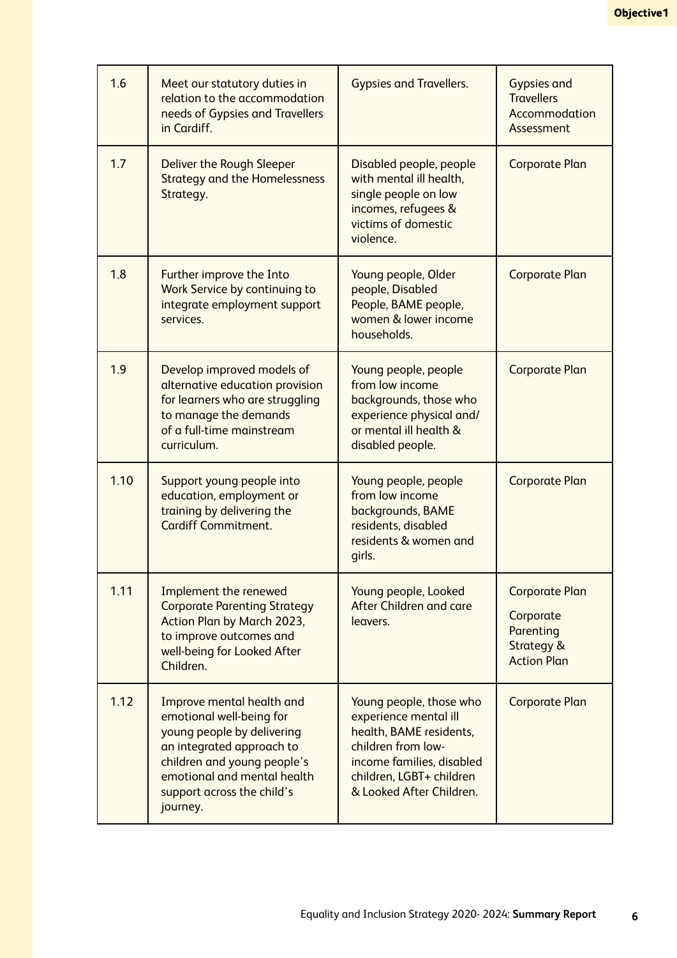| 1.6  | Meet our statutory duties in<br>relation to the accommodation<br>needs of Gypsies and Travellers<br>in Cardiff.                                                                                                          | <b>Gypsies and Travellers.</b>                                                                                                                                                         | <b>Gypsies and</b><br><b>Travellers</b><br>Accommodation<br>Assessment              |
|------|--------------------------------------------------------------------------------------------------------------------------------------------------------------------------------------------------------------------------|----------------------------------------------------------------------------------------------------------------------------------------------------------------------------------------|-------------------------------------------------------------------------------------|
| 1.7  | Deliver the Rough Sleeper<br><b>Strategy and the Homelessness</b><br>Strategy.                                                                                                                                           | Disabled people, people<br>with mental ill health,<br>single people on low<br>incomes, refugees &<br>victims of domestic<br>violence.                                                  | <b>Corporate Plan</b>                                                               |
| 1.8  | Further improve the Into<br>Work Service by continuing to<br>integrate employment support<br>services.                                                                                                                   | Young people, Older<br>people, Disabled<br>People, BAME people,<br>women & lower income<br>households.                                                                                 | <b>Corporate Plan</b>                                                               |
| 1.9  | Develop improved models of<br>alternative education provision<br>for learners who are struggling<br>to manage the demands<br>of a full-time mainstream<br>curriculum.                                                    | Young people, people<br>from low income<br>backgrounds, those who<br>experience physical and/<br>or mental ill health &<br>disabled people.                                            | <b>Corporate Plan</b>                                                               |
| 1.10 | Support young people into<br>education, employment or<br>training by delivering the<br><b>Cardiff Commitment.</b>                                                                                                        | Young people, people<br>from low income<br>backgrounds, BAME<br>residents, disabled<br>residents & women and<br>girls.                                                                 | <b>Corporate Plan</b>                                                               |
| 1.11 | Implement the renewed<br><b>Corporate Parenting Strategy</b><br>Action Plan by March 2023,<br>to improve outcomes and<br>well-being for Looked After<br>Children.                                                        | Young people, Looked<br>After Children and care<br>leavers.                                                                                                                            | <b>Corporate Plan</b><br>Corporate<br>Parenting<br>Strategy &<br><b>Action Plan</b> |
| 1.12 | Improve mental health and<br>emotional well-being for<br>young people by delivering<br>an integrated approach to<br>children and young people's<br>emotional and mental health<br>support across the child's<br>journey. | Young people, those who<br>experience mental ill<br>health, BAME residents,<br>children from low-<br>income families, disabled<br>children, LGBT+ children<br>& Looked After Children. | <b>Corporate Plan</b>                                                               |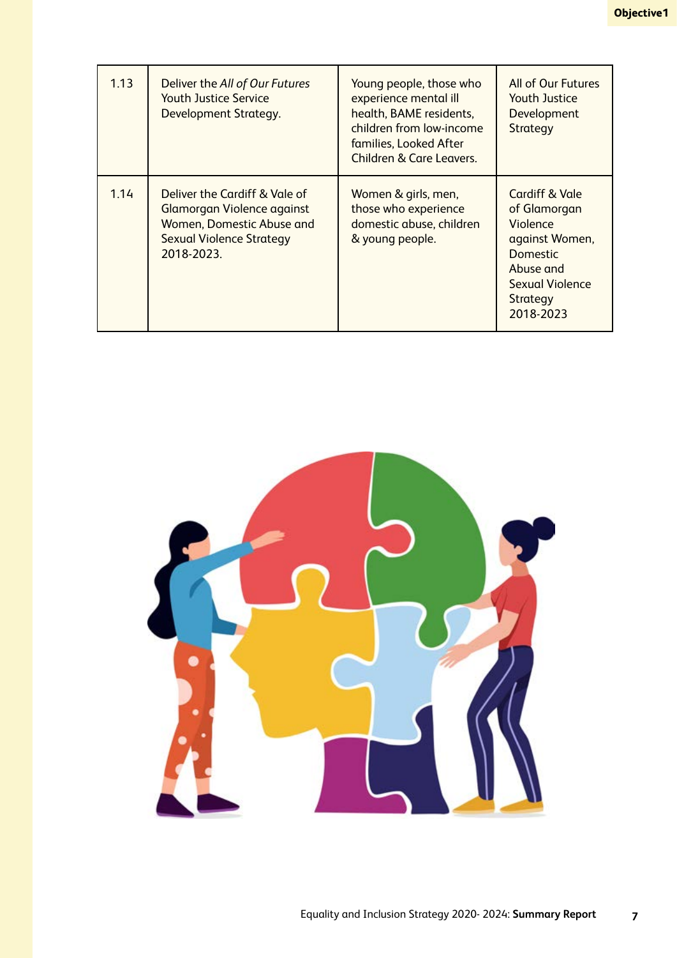| 1.13 | Deliver the All of Our Futures<br><b>Youth Justice Service</b><br>Development Strategy.                                                   | Young people, those who<br>experience mental ill<br>health, BAME residents,<br>children from low-income<br>families, Looked After<br><b>Children &amp; Care Leavers.</b> | All of Our Futures<br>Youth Justice<br>Development<br>Strategy                                                                           |
|------|-------------------------------------------------------------------------------------------------------------------------------------------|--------------------------------------------------------------------------------------------------------------------------------------------------------------------------|------------------------------------------------------------------------------------------------------------------------------------------|
| 1.14 | Deliver the Cardiff & Vale of<br>Glamorgan Violence against<br>Women, Domestic Abuse and<br><b>Sexual Violence Strategy</b><br>2018-2023. | Women & girls, men,<br>those who experience<br>domestic abuse, children<br>& young people.                                                                               | Cardiff & Vale<br>of Glamorgan<br>Violence<br>against Women,<br>Domestic<br>Abuse and<br><b>Sexual Violence</b><br>Strategy<br>2018-2023 |

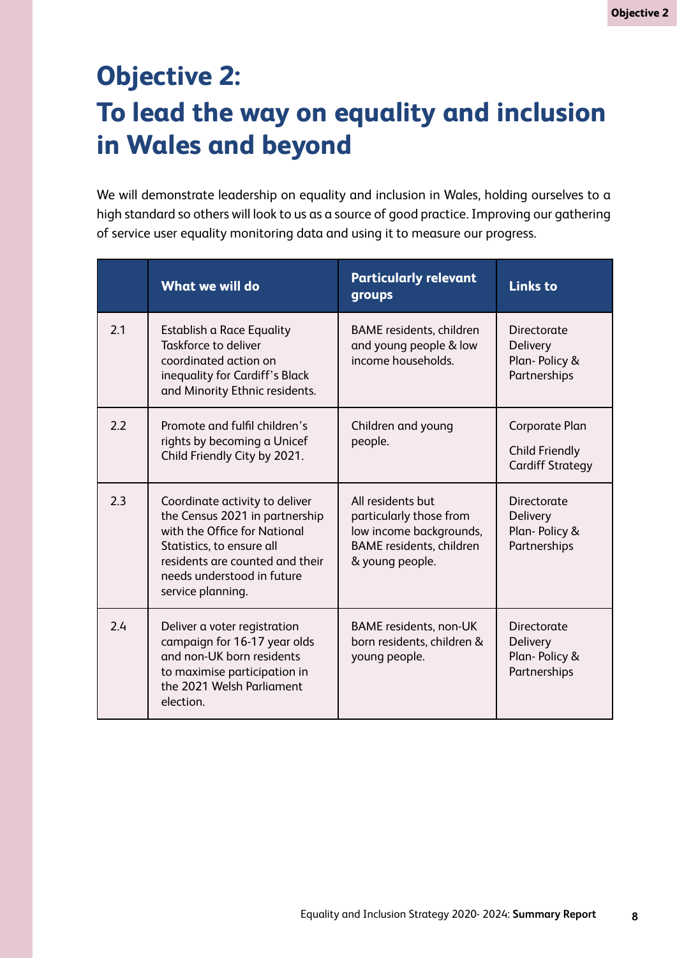# **Objective 2: To lead the way on equality and inclusion in Wales and beyond**

We will demonstrate leadership on equality and inclusion in Wales, holding ourselves to a high standard so others will look to us as a source of good practice. Improving our gathering of service user equality monitoring data and using it to measure our progress.

|     | <b>What we will do</b>                                                                                                                                                                                              | <b>Particularly relevant</b><br>groups                                                                                        | <b>Links to</b>                                                    |
|-----|---------------------------------------------------------------------------------------------------------------------------------------------------------------------------------------------------------------------|-------------------------------------------------------------------------------------------------------------------------------|--------------------------------------------------------------------|
| 2.1 | Establish a Race Equality<br>Taskforce to deliver<br>coordinated action on<br>inequality for Cardiff's Black<br>and Minority Ethnic residents.                                                                      | <b>BAME</b> residents, children<br>and young people & low<br>income households.                                               | Directorate<br>Delivery<br>Plan-Policy &<br>Partnerships           |
| 2.2 | Promote and fulfil children's<br>rights by becoming a Unicef<br>Child Friendly City by 2021.                                                                                                                        | Children and young<br>people.                                                                                                 | Corporate Plan<br><b>Child Friendly</b><br><b>Cardiff Strategy</b> |
| 2.3 | Coordinate activity to deliver<br>the Census 2021 in partnership<br>with the Office for National<br>Statistics, to ensure all<br>residents are counted and their<br>needs understood in future<br>service planning. | All residents but<br>particularly those from<br>low income backgrounds,<br><b>BAME</b> residents, children<br>& young people. | Directorate<br><b>Delivery</b><br>Plan-Policy &<br>Partnerships    |
| 2.4 | Deliver a voter registration<br>campaign for 16-17 year olds<br>and non-UK born residents<br>to maximise participation in<br>the 2021 Welsh Parliament<br>election.                                                 | <b>BAME</b> residents, non-UK<br>born residents, children &<br>young people.                                                  | Directorate<br>Delivery<br>Plan-Policy &<br>Partnerships           |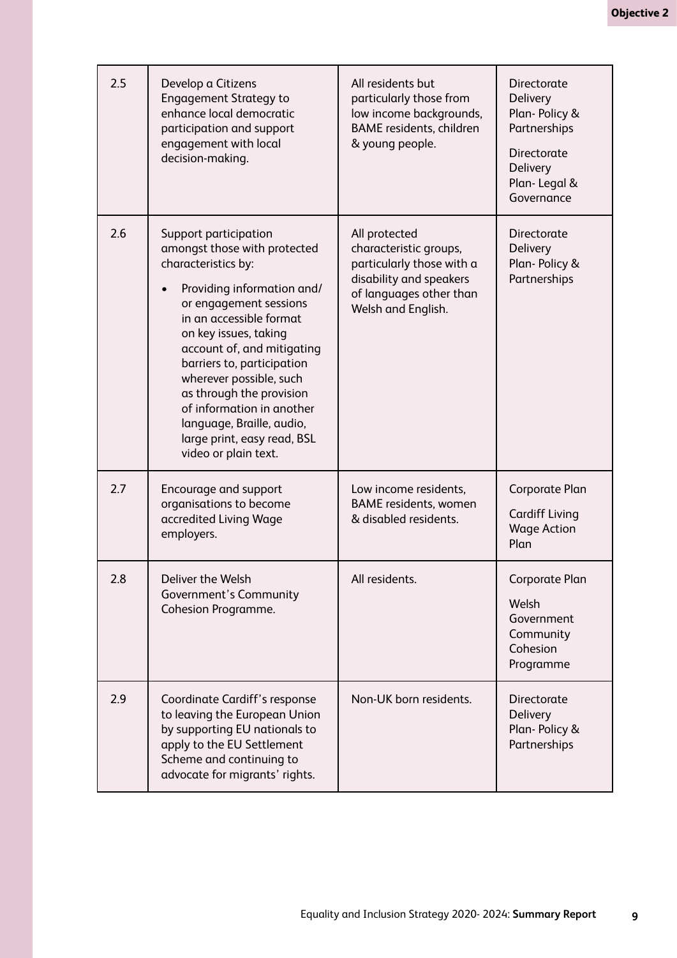| 2.5 | Develop a Citizens<br><b>Engagement Strategy to</b><br>enhance local democratic<br>participation and support<br>engagement with local<br>decision-making.                                                                                                                                                                                                                                                                    | All residents but<br>particularly those from<br>low income backgrounds,<br><b>BAME</b> residents, children<br>& young people.                    | Directorate<br>Delivery<br>Plan-Policy &<br>Partnerships<br>Directorate<br>Delivery<br>Plan-Legal &<br>Governance |
|-----|------------------------------------------------------------------------------------------------------------------------------------------------------------------------------------------------------------------------------------------------------------------------------------------------------------------------------------------------------------------------------------------------------------------------------|--------------------------------------------------------------------------------------------------------------------------------------------------|-------------------------------------------------------------------------------------------------------------------|
| 2.6 | Support participation<br>amongst those with protected<br>characteristics by:<br>Providing information and/<br>or engagement sessions<br>in an accessible format<br>on key issues, taking<br>account of, and mitigating<br>barriers to, participation<br>wherever possible, such<br>as through the provision<br>of information in another<br>language, Braille, audio,<br>large print, easy read, BSL<br>video or plain text. | All protected<br>characteristic groups,<br>particularly those with a<br>disability and speakers<br>of languages other than<br>Welsh and English. | Directorate<br><b>Delivery</b><br>Plan-Policy &<br>Partnerships                                                   |
| 2.7 | Encourage and support<br>organisations to become<br>accredited Living Wage<br>employers.                                                                                                                                                                                                                                                                                                                                     | Low income residents,<br><b>BAME</b> residents, women<br>& disabled residents.                                                                   | Corporate Plan<br><b>Cardiff Living</b><br><b>Wage Action</b><br>Plan                                             |
| 2.8 | Deliver the Welsh<br>Government's Community<br><b>Cohesion Programme.</b>                                                                                                                                                                                                                                                                                                                                                    | All residents.                                                                                                                                   | Corporate Plan<br>Welsh<br>Government<br>Community<br>Cohesion<br>Programme                                       |
| 2.9 | Coordinate Cardiff's response<br>to leaving the European Union<br>by supporting EU nationals to<br>apply to the EU Settlement<br>Scheme and continuing to<br>advocate for migrants' rights.                                                                                                                                                                                                                                  | Non-UK born residents.                                                                                                                           | Directorate<br><b>Delivery</b><br>Plan-Policy &<br>Partnerships                                                   |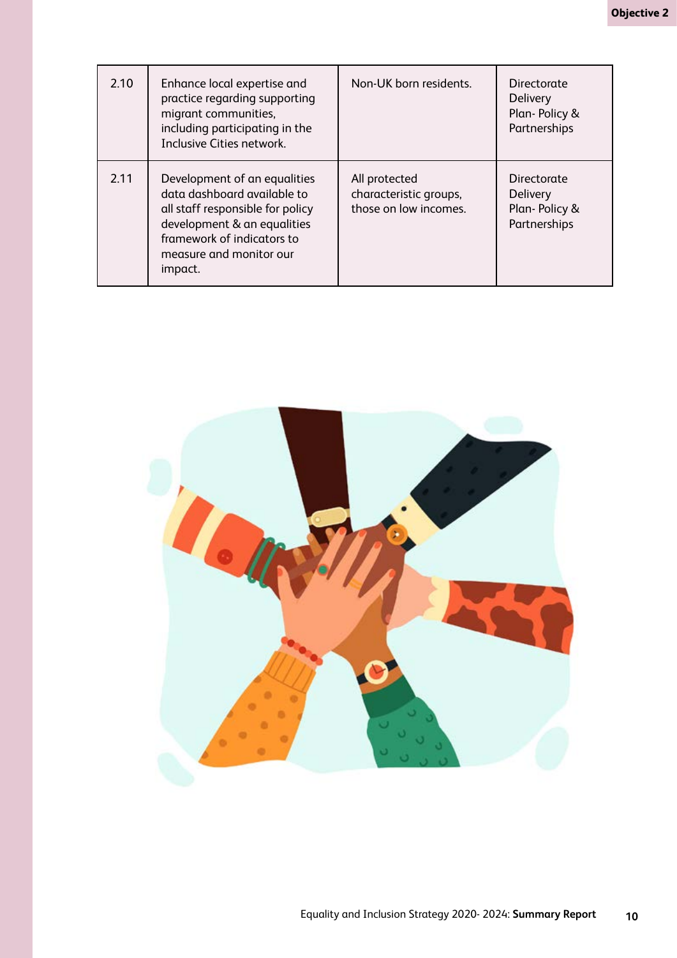| 2.10 | Enhance local expertise and<br>practice regarding supporting<br>migrant communities,<br>including participating in the<br>Inclusive Cities network.                                                | Non-UK born residents.                                           | Directorate<br><b>Delivery</b><br>Plan-Policy &<br>Partnerships |
|------|----------------------------------------------------------------------------------------------------------------------------------------------------------------------------------------------------|------------------------------------------------------------------|-----------------------------------------------------------------|
| 2.11 | Development of an equalities<br>data dashboard available to<br>all staff responsible for policy<br>development & an equalities<br>framework of indicators to<br>measure and monitor our<br>impact. | All protected<br>characteristic groups,<br>those on low incomes. | Directorate<br><b>Delivery</b><br>Plan-Policy &<br>Partnerships |

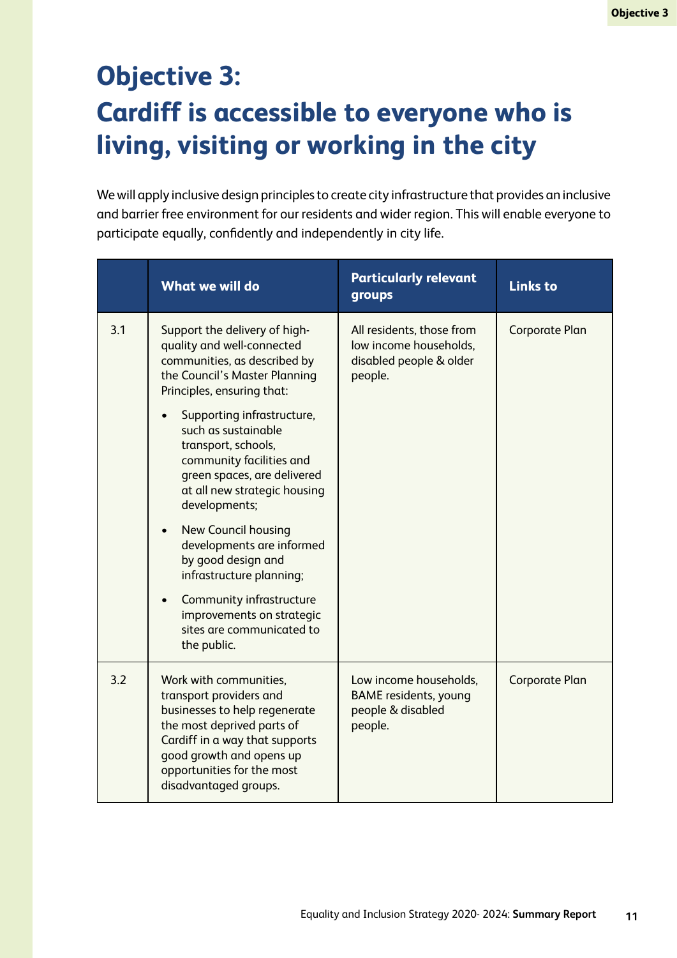# **Objective 3: Cardiff is accessible to everyone who is living, visiting or working in the city**

We will apply inclusive design principles to create city infrastructure that provides an inclusive and barrier free environment for our residents and wider region. This will enable everyone to participate equally, confdently and independently in city life.

|     | <b>What we will do</b>                                                                                                                                                                                                                                                                                                                                                                                                                                                                                                                                        | <b>Particularly relevant</b><br>groups                                                    | <b>Links to</b> |
|-----|---------------------------------------------------------------------------------------------------------------------------------------------------------------------------------------------------------------------------------------------------------------------------------------------------------------------------------------------------------------------------------------------------------------------------------------------------------------------------------------------------------------------------------------------------------------|-------------------------------------------------------------------------------------------|-----------------|
| 3.1 | Support the delivery of high-<br>quality and well-connected<br>communities, as described by<br>the Council's Master Planning<br>Principles, ensuring that:<br>Supporting infrastructure,<br>such as sustainable<br>transport, schools,<br>community facilities and<br>green spaces, are delivered<br>at all new strategic housing<br>developments;<br>New Council housing<br>developments are informed<br>by good design and<br>infrastructure planning;<br>Community infrastructure<br>improvements on strategic<br>sites are communicated to<br>the public. | All residents, those from<br>low income households,<br>disabled people & older<br>people. | Corporate Plan  |
| 3.2 | Work with communities,<br>transport providers and<br>businesses to help regenerate<br>the most deprived parts of<br>Cardiff in a way that supports<br>good growth and opens up<br>opportunities for the most<br>disadvantaged groups.                                                                                                                                                                                                                                                                                                                         | Low income households,<br><b>BAME</b> residents, young<br>people & disabled<br>people.    | Corporate Plan  |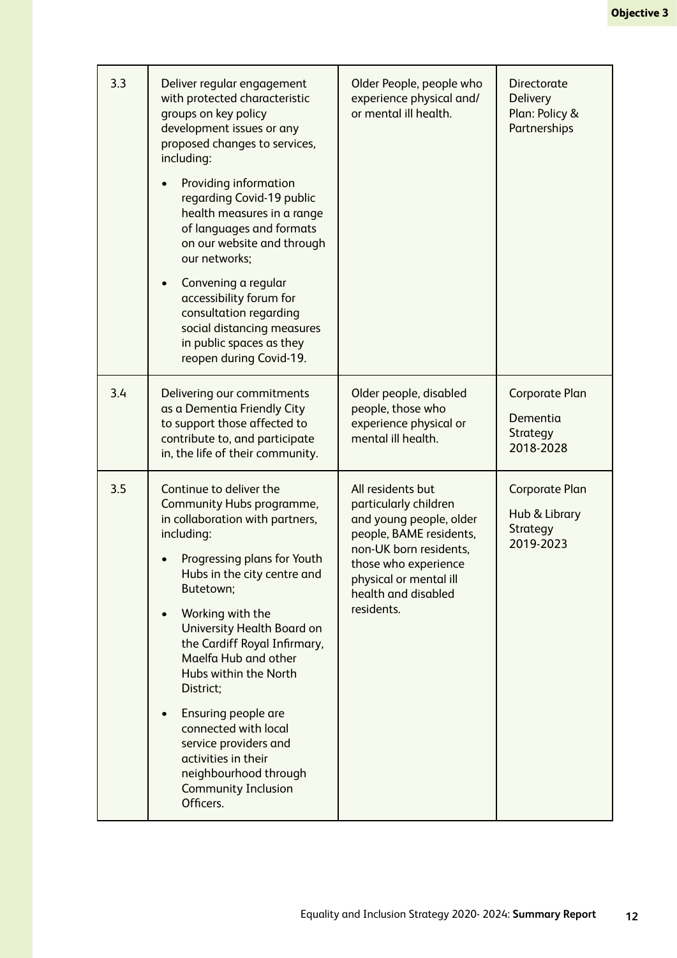| 3.3 | Deliver regular engagement<br>with protected characteristic<br>groups on key policy<br>development issues or any<br>proposed changes to services,<br>including:<br>Providing information<br>regarding Covid-19 public<br>health measures in a range<br>of languages and formats<br>on our website and through<br>our networks;<br>Convening a regular<br>accessibility forum for<br>consultation regarding<br>social distancing measures<br>in public spaces as they<br>reopen during Covid-19.     | Older People, people who<br>experience physical and/<br>or mental ill health.                                                                                                                                     | <b>Directorate</b><br><b>Delivery</b><br>Plan: Policy &<br>Partnerships |
|-----|-----------------------------------------------------------------------------------------------------------------------------------------------------------------------------------------------------------------------------------------------------------------------------------------------------------------------------------------------------------------------------------------------------------------------------------------------------------------------------------------------------|-------------------------------------------------------------------------------------------------------------------------------------------------------------------------------------------------------------------|-------------------------------------------------------------------------|
| 3.4 | Delivering our commitments<br>as a Dementia Friendly City<br>to support those affected to<br>contribute to, and participate<br>in, the life of their community.                                                                                                                                                                                                                                                                                                                                     | Older people, disabled<br>people, those who<br>experience physical or<br>mental ill health.                                                                                                                       | <b>Corporate Plan</b><br>Dementia<br>Strategy<br>2018-2028              |
| 3.5 | Continue to deliver the<br>Community Hubs programme,<br>in collaboration with partners,<br>including:<br>Progressing plans for Youth<br>Hubs in the city centre and<br>Butetown;<br>Working with the<br>University Health Board on<br>the Cardiff Royal Infirmary,<br>Maelfa Hub and other<br>Hubs within the North<br>District;<br>Ensuring people are<br>connected with local<br>service providers and<br>activities in their<br>neighbourhood through<br><b>Community Inclusion</b><br>Officers. | All residents but<br>particularly children<br>and young people, older<br>people, BAME residents,<br>non-UK born residents,<br>those who experience<br>physical or mental ill<br>health and disabled<br>residents. | <b>Corporate Plan</b><br>Hub & Library<br><b>Strategy</b><br>2019-2023  |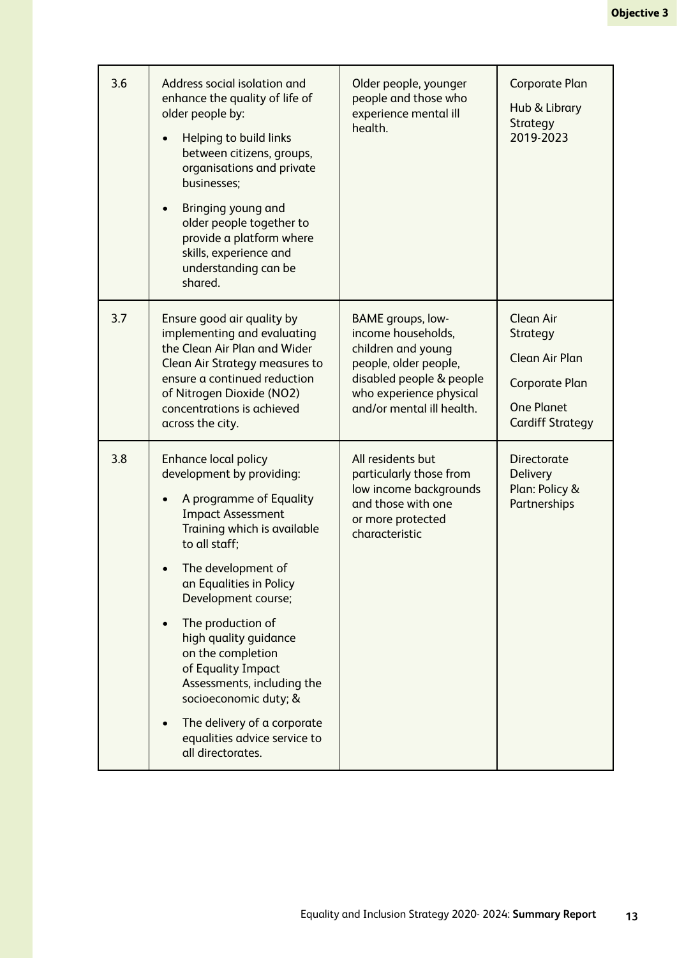| 3.6 | Address social isolation and<br>enhance the quality of life of<br>older people by:<br>Helping to build links<br>between citizens, groups,<br>organisations and private<br>businesses;<br>Bringing young and<br>older people together to<br>provide a platform where<br>skills, experience and<br>understanding can be<br>shared.                                                                                                                                            | Older people, younger<br>people and those who<br>experience mental ill<br>health.                                                                                          | Corporate Plan<br>Hub & Library<br>Strategy<br>2019-2023                                                         |
|-----|-----------------------------------------------------------------------------------------------------------------------------------------------------------------------------------------------------------------------------------------------------------------------------------------------------------------------------------------------------------------------------------------------------------------------------------------------------------------------------|----------------------------------------------------------------------------------------------------------------------------------------------------------------------------|------------------------------------------------------------------------------------------------------------------|
| 3.7 | Ensure good air quality by<br>implementing and evaluating<br>the Clean Air Plan and Wider<br>Clean Air Strategy measures to<br>ensure a continued reduction<br>of Nitrogen Dioxide (NO2)<br>concentrations is achieved<br>across the city.                                                                                                                                                                                                                                  | BAME groups, low-<br>income households,<br>children and young<br>people, older people,<br>disabled people & people<br>who experience physical<br>and/or mental ill health. | Clean Air<br>Strategy<br><b>Clean Air Plan</b><br>Corporate Plan<br><b>One Planet</b><br><b>Cardiff Strategy</b> |
| 3.8 | <b>Enhance local policy</b><br>development by providing:<br>A programme of Equality<br><b>Impact Assessment</b><br>Training which is available<br>to all staff;<br>The development of<br>an Equalities in Policy<br>Development course;<br>The production of<br>high quality guidance<br>on the completion<br>of Equality Impact<br>Assessments, including the<br>socioeconomic duty; &<br>The delivery of a corporate<br>equalities advice service to<br>all directorates. | All residents but<br>particularly those from<br>low income backgrounds<br>and those with one<br>or more protected<br>characteristic                                        | Directorate<br><b>Delivery</b><br>Plan: Policy &<br>Partnerships                                                 |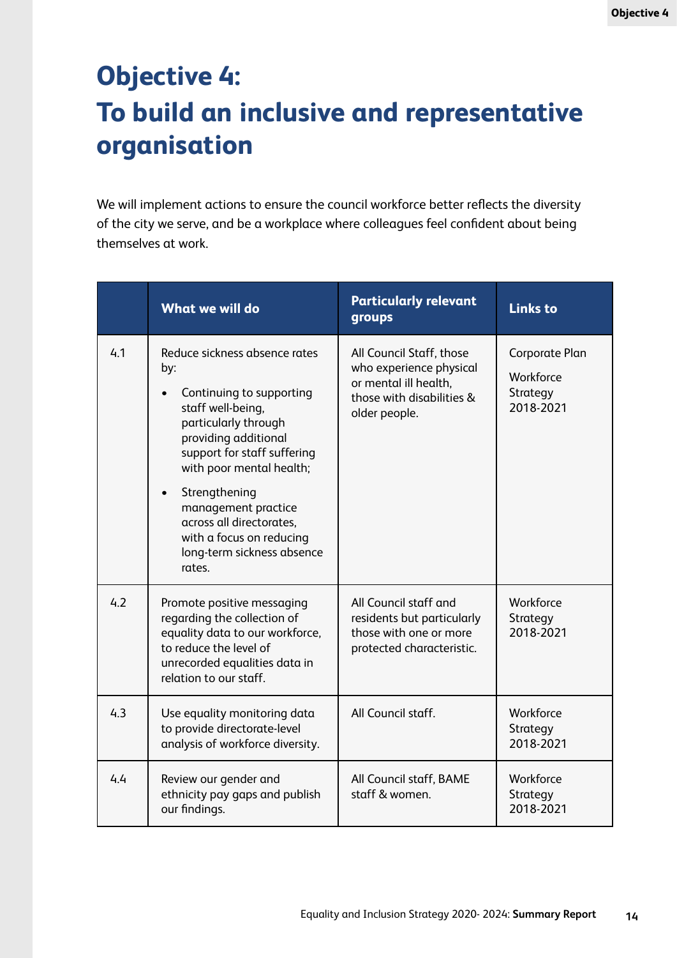# **Objective 4: To build an inclusive and representative organisation**

We will implement actions to ensure the council workforce better reflects the diversity of the city we serve, and be a workplace where colleagues feel confdent about being themselves at work.

|     | <b>What we will do</b>                                                                                                                                                                                        | <b>Particularly relevant</b><br>groups                                                                                     | <b>Links to</b>                                      |
|-----|---------------------------------------------------------------------------------------------------------------------------------------------------------------------------------------------------------------|----------------------------------------------------------------------------------------------------------------------------|------------------------------------------------------|
| 4.1 | Reduce sickness absence rates<br>by:<br>Continuing to supporting<br>$\bullet$<br>staff well-being,<br>particularly through<br>providing additional<br>support for staff suffering<br>with poor mental health; | All Council Staff, those<br>who experience physical<br>or mental ill health,<br>those with disabilities &<br>older people. | Corporate Plan<br>Workforce<br>Strategy<br>2018-2021 |
|     | Strengthening<br>management practice<br>across all directorates,<br>with a focus on reducing<br>long-term sickness absence<br>rates.                                                                          |                                                                                                                            |                                                      |
| 4.2 | Promote positive messaging<br>regarding the collection of<br>equality data to our workforce,<br>to reduce the level of<br>unrecorded equalities data in<br>relation to our staff.                             | All Council staff and<br>residents but particularly<br>those with one or more<br>protected characteristic.                 | Workforce<br>Strategy<br>2018-2021                   |
| 4.3 | Use equality monitoring data<br>to provide directorate-level<br>analysis of workforce diversity.                                                                                                              | All Council staff.                                                                                                         | Workforce<br>Strategy<br>2018-2021                   |
| 4.4 | Review our gender and<br>ethnicity pay gaps and publish<br>our findings.                                                                                                                                      | All Council staff, BAME<br>staff & women.                                                                                  | Workforce<br>Strategy<br>2018-2021                   |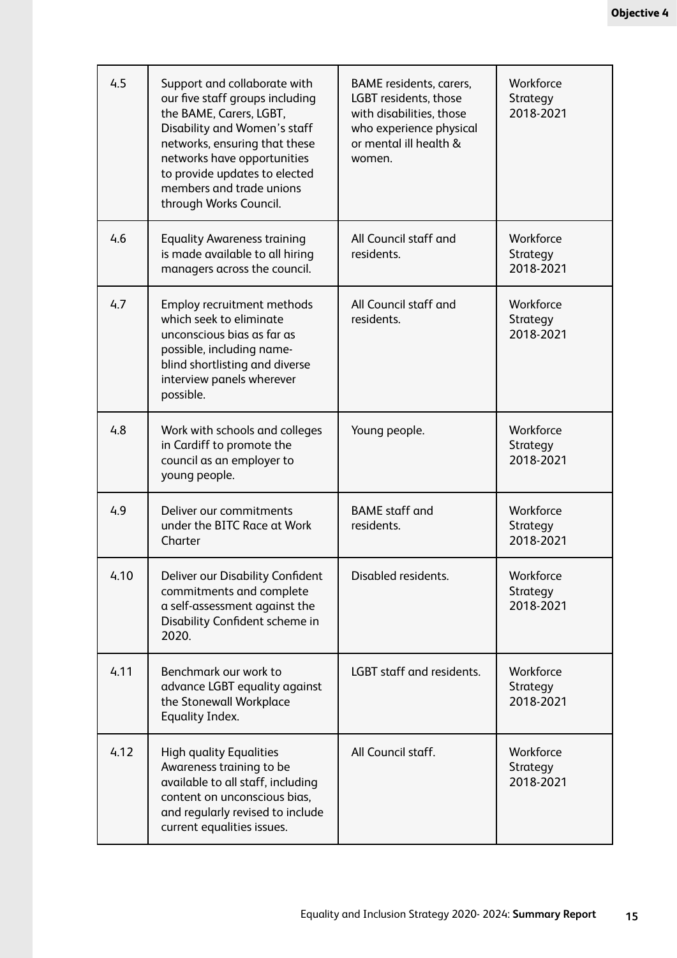| 4.5  | Support and collaborate with<br>our five staff groups including<br>the BAME, Carers, LGBT,<br>Disability and Women's staff<br>networks, ensuring that these<br>networks have opportunities<br>to provide updates to elected<br>members and trade unions<br>through Works Council. | BAME residents, carers,<br>LGBT residents, those<br>with disabilities, those<br>who experience physical<br>or mental ill health &<br>women. | Workforce<br>Strategy<br>2018-2021 |
|------|-----------------------------------------------------------------------------------------------------------------------------------------------------------------------------------------------------------------------------------------------------------------------------------|---------------------------------------------------------------------------------------------------------------------------------------------|------------------------------------|
| 4.6  | <b>Equality Awareness training</b><br>is made available to all hiring<br>managers across the council.                                                                                                                                                                             | All Council staff and<br>residents.                                                                                                         | Workforce<br>Strategy<br>2018-2021 |
| 4.7  | Employ recruitment methods<br>which seek to eliminate<br>unconscious bias as far as<br>possible, including name-<br>blind shortlisting and diverse<br>interview panels wherever<br>possible.                                                                                      | All Council staff and<br>residents.                                                                                                         | Workforce<br>Strategy<br>2018-2021 |
| 4.8  | Work with schools and colleges<br>in Cardiff to promote the<br>council as an employer to<br>young people.                                                                                                                                                                         | Young people.                                                                                                                               | Workforce<br>Strategy<br>2018-2021 |
| 4.9  | Deliver our commitments<br>under the BITC Race at Work<br>Charter                                                                                                                                                                                                                 | <b>BAME</b> staff and<br>residents.                                                                                                         | Workforce<br>Strategy<br>2018-2021 |
| 4.10 | Deliver our Disability Confident<br>commitments and complete<br>a self-assessment against the<br>Disability Confident scheme in<br>2020.                                                                                                                                          | Disabled residents.                                                                                                                         | Workforce<br>Strategy<br>2018-2021 |
| 4.11 | Benchmark our work to<br>advance LGBT equality against<br>the Stonewall Workplace<br><b>Equality Index.</b>                                                                                                                                                                       | LGBT staff and residents.                                                                                                                   | Workforce<br>Strategy<br>2018-2021 |
| 4.12 | <b>High quality Equalities</b><br>Awareness training to be<br>available to all staff, including<br>content on unconscious bias,<br>and regularly revised to include<br>current equalities issues.                                                                                 | All Council staff.                                                                                                                          | Workforce<br>Strategy<br>2018-2021 |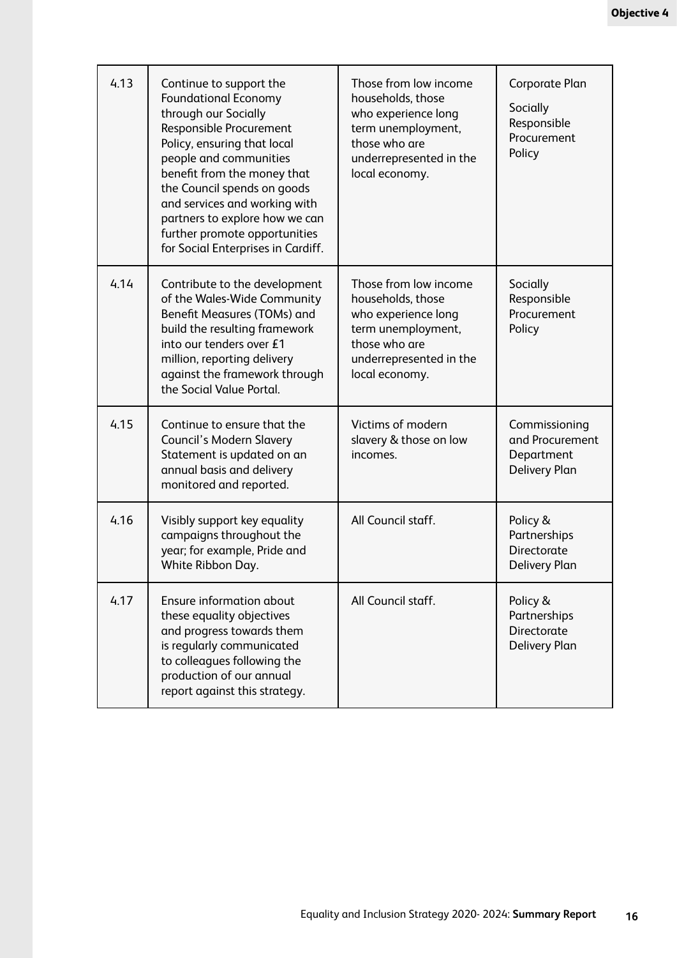| 4.13 | Continue to support the<br><b>Foundational Economy</b><br>through our Socially<br>Responsible Procurement<br>Policy, ensuring that local<br>people and communities<br>benefit from the money that<br>the Council spends on goods<br>and services and working with<br>partners to explore how we can<br>further promote opportunities<br>for Social Enterprises in Cardiff. | Those from low income<br>households, those<br>who experience long<br>term unemployment,<br>those who are<br>underrepresented in the<br>local economy. | Corporate Plan<br>Socially<br>Responsible<br>Procurement<br>Policy     |
|------|----------------------------------------------------------------------------------------------------------------------------------------------------------------------------------------------------------------------------------------------------------------------------------------------------------------------------------------------------------------------------|-------------------------------------------------------------------------------------------------------------------------------------------------------|------------------------------------------------------------------------|
| 4.14 | Contribute to the development<br>of the Wales-Wide Community<br>Benefit Measures (TOMs) and<br>build the resulting framework<br>into our tenders over £1<br>million, reporting delivery<br>against the framework through<br>the Social Value Portal.                                                                                                                       | Those from low income<br>households, those<br>who experience long<br>term unemployment,<br>those who are<br>underrepresented in the<br>local economy. | Socially<br>Responsible<br>Procurement<br>Policy                       |
| 4.15 | Continue to ensure that the<br>Council's Modern Slavery<br>Statement is updated on an<br>annual basis and delivery<br>monitored and reported.                                                                                                                                                                                                                              | Victims of modern<br>slavery & those on low<br>incomes.                                                                                               | Commissioning<br>and Procurement<br>Department<br><b>Delivery Plan</b> |
| 4.16 | Visibly support key equality<br>campaigns throughout the<br>year; for example, Pride and<br>White Ribbon Day.                                                                                                                                                                                                                                                              | All Council staff.                                                                                                                                    | Policy &<br>Partnerships<br>Directorate<br><b>Delivery Plan</b>        |
| 4.17 | Ensure information about<br>these equality objectives<br>and progress towards them<br>is regularly communicated<br>to colleagues following the<br>production of our annual<br>report against this strategy.                                                                                                                                                                | All Council staff.                                                                                                                                    | Policy &<br>Partnerships<br>Directorate<br><b>Delivery Plan</b>        |